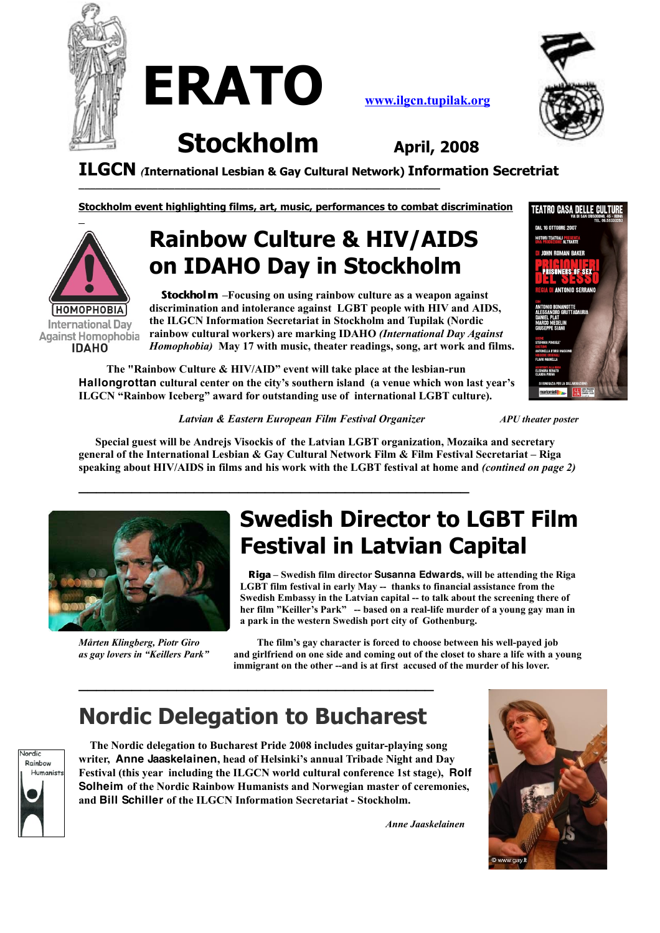

**ERATO [www.ilgcn.tupilak.org](http://www.ilgcn.tupilak.se/)**



**Stockholm April, <sup>2008</sup>**

**ILGCN** *(***International Lesbian & Gay Cultural Network) Information Secretriat**

**Stockholm event highlighting films, art, music, performances to combat discrimination**

# **НОМОРНОВІА International Dav Against Homophobia IDAHO**

# **Rainbow Culture & HIV/AIDS on IDAHO Day in Stockholm**

**Stockholm –Focusing on using rainbow culture as a weapon against discrimination and intolerance against LGBT people with HIV and AIDS, the ILGCN Information Secretariat in Stockholm and Tupilak (Nordic rainbow cultural workers) are marking IDAHO** *(International Day Against Homophobia)* **May 17 with music, theater readings, song, art work and films.**

**The "Rainbow Culture & HIV/AID" event will take place at the lesbian-run Hallongrottan cultural center on the city's southern island (a venue which won last year's ILGCN "Rainbow Iceberg" award for outstanding use of international LGBT culture).**

**\_\_\_\_\_\_\_\_\_\_\_\_\_\_\_\_\_\_\_\_\_\_\_\_\_\_\_\_\_\_\_\_\_\_\_\_\_\_\_\_\_\_\_\_**



*Latvian & Eastern European Film Festival Organizer APU theater poster*

**Special guest will be Andrejs Visockis of the Latvian LGBT organization, Mozaika and secretary general of the International Lesbian & Gay Cultural Network Film & Film Festival Secretariat – Riga** speaking about HIV/AIDS in films and his work with the LGBT festival at home and (contined on page 2)



### **Swedish Director to LGBT Film Festival in Latvian Capital**

**Riga – Swedish film director Susanna Edwards, will be attending the Riga LGBT film festival in early May -- thanks to financial assistance from the Swedish Embassy in the Latvian capital -- to talk about the screening there of her film "Keiller's Park" -- based on a real-life murder of a young gay man in a park in the western Swedish port city of Gothenburg.**

*Mårten Klingberg, Piotr Giro* **The film's gay character is forced to choose between his well-payed job** and girlfriend on one side and coming out of the closet to share a life with a voung **immigrant on the other --and is at first accused of the murder of his lover.**

### **Nordic Delegation to Bucharest**

**\_\_\_\_\_\_\_\_\_\_\_\_\_\_\_\_\_\_\_\_\_\_\_\_\_\_\_\_\_\_\_\_\_\_\_\_\_\_\_\_**



**The Nordic delegation to Bucharest Pride 2008 includes guitar-playing song writer, Anne Jaaskelainen, head of Helsinki's annual Tribade Night and Day Festival (this year including the ILGCN world cultural conference 1st stage), Rolf Solheim of the Nordic Rainbow Humanists and Norwegian master of ceremonies, and Bill Schiller of the ILGCN Information Secretariat - Stockholm.**

*Anne Jaaskelainen*

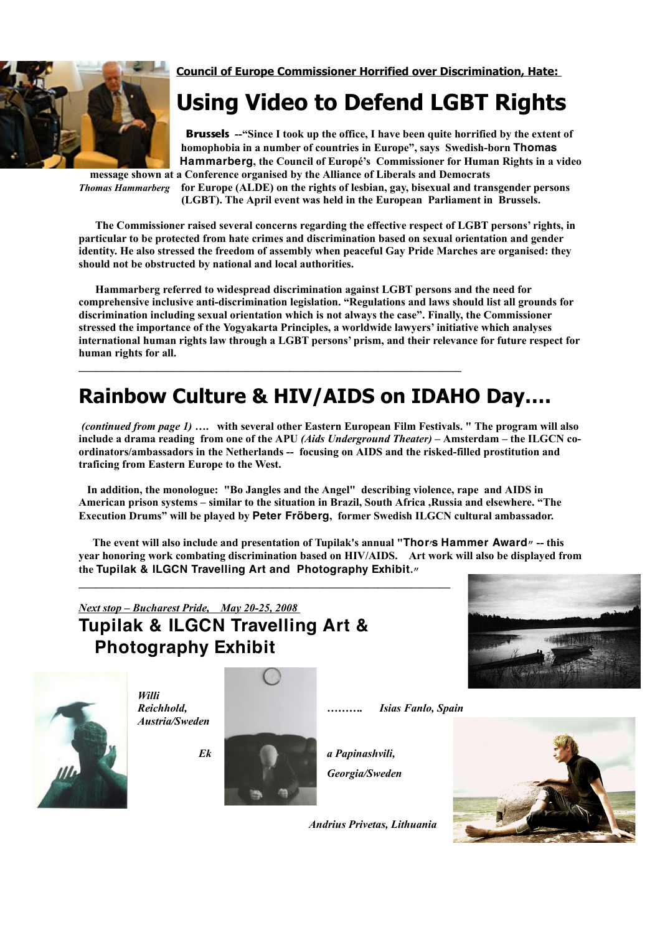

**Council of Europe Commissioner Horrified over Discrimination, Hate:**

### **Using Video to Defend LGBT Rights**

**Brussels --"Since I took up the office, I have been quite horrified by the extent of homophobia in a number of countries in Europe", says Swedish-born Thomas Hammarberg, the Council of Europé's Commissioner for Human Rights in a video message shown at a Conference organised by the Alliance of Liberals and Democrats**

*Thomas Hammarberg* **for Europe (ALDE) on the rights of lesbian, gay, bisexual and transgender persons (LGBT). The April event was held in the European Parliament in Brussels.**

**The Commissioner raised several concerns regarding the effective respect of LGBT persons' rights, in particular to be protected from hate crimes and discrimination based on sexual orientation and gender identity. He also stressed the freedom of assembly when peaceful Gay Pride Marches are organised: they should not be obstructed by national and local authorities.**

**Hammarberg referred to widespread discrimination against LGBT persons and the need for comprehensive inclusive anti-discrimination legislation. "Regulations and laws should list all grounds for discrimination including sexual orientation which is not always the case". Finally, the Commissioner stressed the importance of the Yogyakarta Principles, a worldwide lawyers' initiative which analyses international human rights law through a LGBT persons'prism, and their relevance for future respect for human rights for all.**

### **Rainbow Culture & HIV/AIDS on IDAHO Day….**

*(continued from page 1)* **…. with several other Eastern European Film Festivals. " The program will also** include a drama reading from one of the APU (Aids Underground Theater) – Amsterdam – the ILGCN co**ordinators/ambassadors in the Netherlands -- focusing on AIDS and the risked-filled prostitution and traficing from Eastern Europe to the West.**

**In addition, the monologue: "Bo Jangles and the Angel" describing violence, rape and AIDS in American prison systems – similar to the situation in Brazil, South Africa ,Russia and elsewhere. "The Execution Drums" will be played by Peter Fröberg, former Swedish ILGCN cultural ambassador.**

The event will also include and presentation of Tupilak's annual "Thor's Hammer Award" -- this **year honoring work combating discrimination based on HIV/AIDS. Art work will also be displayed from the Tupilak & ILGCN Travelling Art and Photography Exhibit."**

### *Next stop – Bucharest Pride, May 20-25, 2008* **Tupilak & ILGCN Travelling Art & Photography Exhibit**





*Willi Reichhold, ………. Isias Fanlo, Spain Austria/Sweden*



**\_\_\_\_\_\_\_\_\_\_\_\_\_\_\_\_\_\_\_\_\_\_\_\_\_\_\_\_\_\_\_\_\_\_\_\_\_\_\_\_\_\_\_\_\_\_\_\_\_\_\_\_\_\_\_\_\_\_\_\_\_\_\_\_\_\_\_**

*Georgia/Sweden*

*Andrius Privetas, Lithuania*

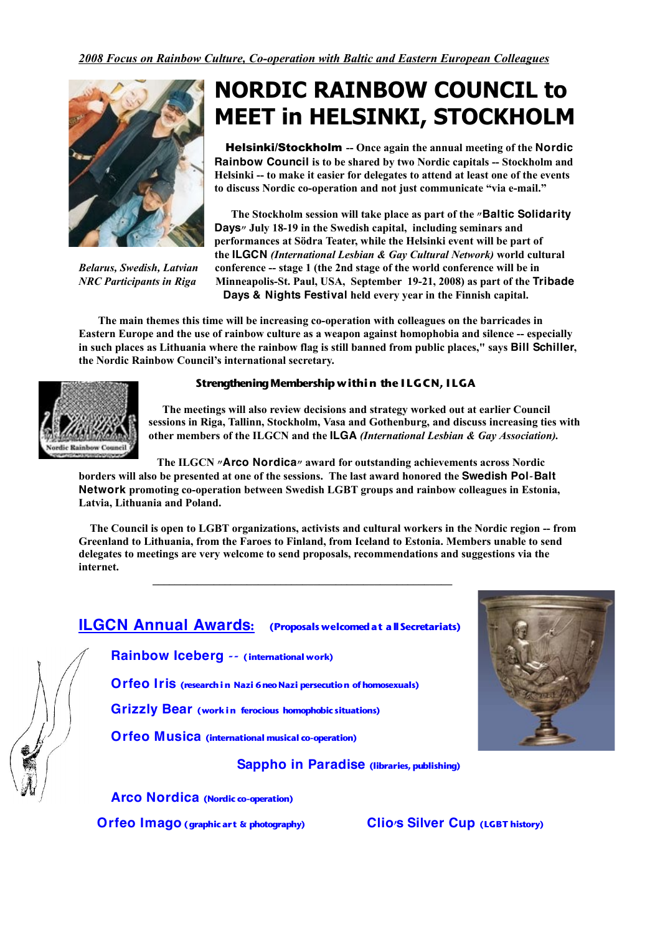

# **NORDIC RAINBOW COUNCIL to MEET in HELSINKI, STOCKHOLM**

Helsinki/Stockholm **-- Once again the annual meeting of the Nordic Rainbow Council is to be shared by two Nordic capitals -- Stockholm and Helsinki -- to make it easier for delegates to attend at least one of the events to discuss Nordic co-operation and not just communicate "via e-mail."**

**The Stockholm session will take place as part of the "Baltic Solidarity Days" July 18-19 in the Swedish capital, including seminars and performances at Södra Teater, while the Helsinki event will be part of the ILGCN** *(International Lesbian & Gay Cultural Network)* **world cultural** *Belarus, Swedish, Latvian* **conference -- stage 1 (the 2nd stage of the world conference will be in** *NRC Participants in Riga* **Minneapolis-St. Paul, USA, September 19-21, 2008) as part of the Tribade Days & Nights Festival held every year in the Finnish capital.**

**The main themes this time will be increasing co-operation with colleagues on the barricades in Eastern Europe and the use of rainbow culture as a weapon against homophobia and silence -- especially** in such places as Lithuania where the rainbow flag is still banned from public places," says Bill Schiller, **the Nordic Rainbow Council's international secretary.**



#### **StrengtheningMembership within the I LGCN, I LGA**

**The meetings will also review decisions and strategy worked out at earlier Council sessions in Riga, Tallinn, Stockholm, Vasa and Gothenburg, and discuss increasing ties with other members of the ILGCN and the ILGA** *(International Lesbian & Gay Association).*

**The ILGCN "Arco Nordica" award for outstanding achievements across Nordic**

borders will also be presented at one of the sessions. The last award honored the Swedish Pol-Balt **Network promoting co-operation between Swedish LGBT groups and rainbow colleagues in Estonia, Latvia, Lithuania and Poland.**

**The Council is open to LGBT organizations, activists and cultural workers in the Nordic region -- from Greenland to Lithuania, from the Faroes to Finland, from Iceland to Estonia. Members unable to send delegates to meetings are very welcome to send proposals, recommendations and suggestions via the internet.**

*\_\_\_\_\_\_\_\_\_\_\_\_\_\_\_\_\_\_\_\_\_\_\_\_\_\_\_\_\_\_\_\_\_\_\_\_\_\_\_\_\_\_\_\_\_\_\_\_\_\_\_\_\_\_*

#### **ILGCN Annual Awards: (Proposals welcomedat allSecretariats)**

**Rainbow Iceberg -- (international work)**

**Orfeo Iris (researchin Nazi 6neoNazi persecution ofhomosexuals)**

**Grizzly Bear (work in ferocious homophobic situations)**

**Orfeo Musica (international musical co-operation)**

#### **Sappho in Paradise (libraries,publishing)**

**Arco Nordica (Nordic co-operation)**

**Orfeo Imago (graphic art & photography) Clio's Silver Cup (LGBT history)**